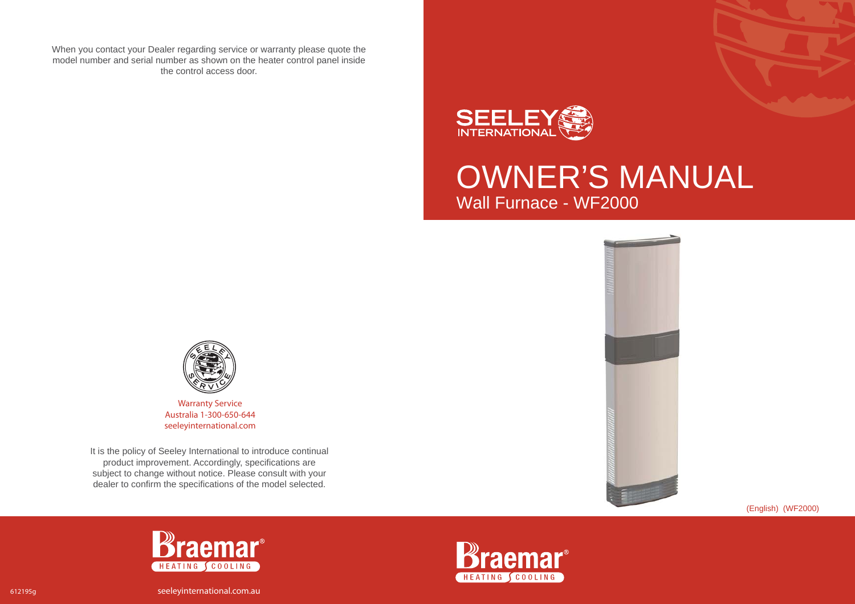When you contact your Dealer regarding service or warranty please quote the model number and serial number as shown on the heater control panel inside the control access door.



OWNER'S MANUAL Wall Furnace - WF2000





**Warranty Service** Australia 1-300-650-644seeleyinternational.com

It is the policy of Seeley International to introduce continual product improvement. Accordingly, specifications are subject to change without notice. Please consult with your dealer to confirm the specifications of the model selected.

(English) (WF2000)





612195g seeleyinternational.com.au